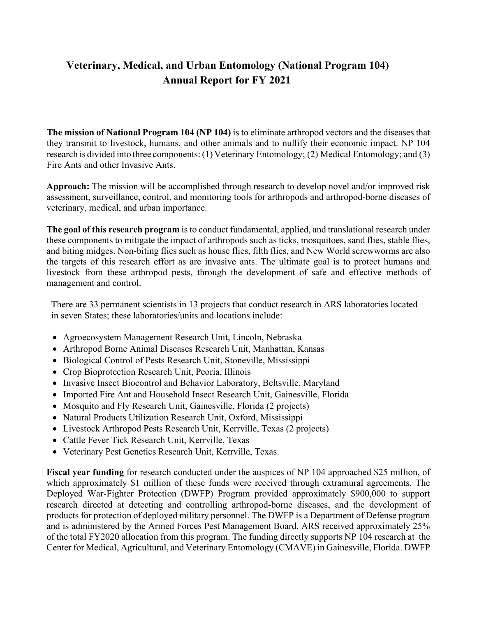# **Veterinary, Medical, and Urban Entomology (National Program 104) Annual Report for FY 2021**

**The mission of National Program 104 (NP 104)** is to eliminate arthropod vectors and the diseases that they transmit to livestock, humans, and other animals and to nullify their economic impact. NP 104 research is divided into three components:(1) Veterinary Entomology; (2) Medical Entomology; and (3) Fire Ants and other Invasive Ants.

**Approach:** The mission will be accomplished through research to develop novel and/or improved risk assessment, surveillance, control, and monitoring tools for arthropods and arthropod-borne diseases of veterinary, medical, and urban importance.

**The goal of this research program** is to conduct fundamental, applied, and translational research under these components to mitigate the impact of arthropods such as ticks, mosquitoes, sand flies, stable flies, and biting midges. Non-biting flies such as house flies, filth flies, and New World screwworms are also the targets of this research effort as are invasive ants. The ultimate goal is to protect humans and livestock from these arthropod pests, through the development of safe and effective methods of management and control.

There are 33 permanent scientists in 13 projects that conduct research in ARS laboratories located in seven States; these laboratories/units and locations include:

- Agroecosystem Management Research Unit, Lincoln, Nebraska
- Arthropod Borne Animal Diseases Research Unit, Manhattan, Kansas
- Biological Control of Pests Research Unit, Stoneville, Mississippi
- Crop Bioprotection Research Unit, Peoria, Illinois
- Invasive Insect Biocontrol and Behavior Laboratory, Beltsville, Maryland
- Imported Fire Ant and Household Insect Research Unit, Gainesville, Florida
- Mosquito and Fly Research Unit, Gainesville, Florida (2 projects)
- Natural Products Utilization Research Unit, Oxford, Mississippi
- Livestock Arthropod Pests Research Unit, Kerrville, Texas (2 projects)
- Cattle Fever Tick Research Unit, Kerrville, Texas
- Veterinary Pest Genetics Research Unit, Kerrville, Texas.

**Fiscal year funding** for research conducted under the auspices of NP 104 approached \$25 million, of which approximately \$1 million of these funds were received through extramural agreements. The Deployed War-Fighter Protection (DWFP) Program provided approximately \$900,000 to support research directed at detecting and controlling arthropod-borne diseases, and the development of products for protection of deployed military personnel. The DWFP is a Department of Defense program and is administered by the Armed Forces Pest Management Board. ARS received approximately 25% of the total FY2020 allocation from this program. The funding directly supports NP 104 research at the Center for Medical, Agricultural, and Veterinary Entomology (CMAVE) in Gainesville, Florida. DWFP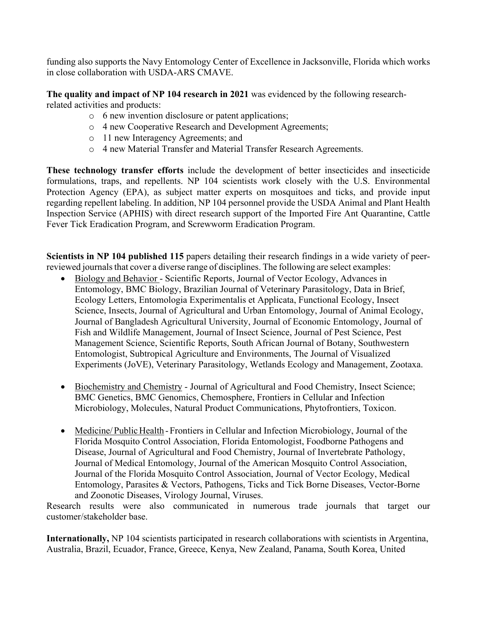funding also supports the Navy Entomology Center of Excellence in Jacksonville, Florida which works in close collaboration with USDA-ARS CMAVE.

**The quality and impact of NP 104 research in 2021** was evidenced by the following researchrelated activities and products:

- o 6 new invention disclosure or patent applications;
- o 4 new Cooperative Research and Development Agreements;
- o 11 new Interagency Agreements; and
- o 4 new Material Transfer and Material Transfer Research Agreements.

**These technology transfer efforts** include the development of better insecticides and insecticide formulations, traps, and repellents. NP 104 scientists work closely with the U.S. Environmental Protection Agency (EPA), as subject matter experts on mosquitoes and ticks, and provide input regarding repellent labeling. In addition, NP 104 personnel provide the USDA Animal and Plant Health Inspection Service (APHIS) with direct research support of the Imported Fire Ant Quarantine, Cattle Fever Tick Eradication Program, and Screwworm Eradication Program.

**Scientists in NP 104 published 115** papers detailing their research findings in a wide variety of peerreviewed journals that cover a diverse range of disciplines. The following are select examples:

- Biology and Behavior Scientific Reports, Journal of Vector Ecology, Advances in Entomology, BMC Biology, Brazilian Journal of Veterinary Parasitology, Data in Brief, Ecology Letters, Entomologia Experimentalis et Applicata, Functional Ecology, Insect Science, Insects, Journal of Agricultural and Urban Entomology, Journal of Animal Ecology, Journal of Bangladesh Agricultural University, Journal of Economic Entomology, Journal of Fish and Wildlife Management, Journal of Insect Science, Journal of Pest Science, Pest Management Science, Scientific Reports, South African Journal of Botany, Southwestern Entomologist, Subtropical Agriculture and Environments, The Journal of Visualized Experiments (JoVE), Veterinary Parasitology, Wetlands Ecology and Management, Zootaxa.
- Biochemistry and Chemistry Journal of Agricultural and Food Chemistry, Insect Science; BMC Genetics, BMC Genomics, Chemosphere, Frontiers in Cellular and Infection Microbiology, Molecules, Natural Product Communications, Phytofrontiers, Toxicon.
- Medicine/Public Health Frontiers in Cellular and Infection Microbiology, Journal of the Florida Mosquito Control Association, Florida Entomologist, Foodborne Pathogens and Disease, Journal of Agricultural and Food Chemistry, Journal of Invertebrate Pathology, Journal of Medical Entomology, Journal of the American Mosquito Control Association, Journal of the Florida Mosquito Control Association, Journal of Vector Ecology, Medical Entomology, Parasites & Vectors, Pathogens, Ticks and Tick Borne Diseases, Vector-Borne and Zoonotic Diseases, Virology Journal, Viruses.

Research results were also communicated in numerous trade journals that target our customer/stakeholder base.

**Internationally,** NP 104 scientists participated in research collaborations with scientists in Argentina, Australia, Brazil, Ecuador, France, Greece, Kenya, New Zealand, Panama, South Korea, United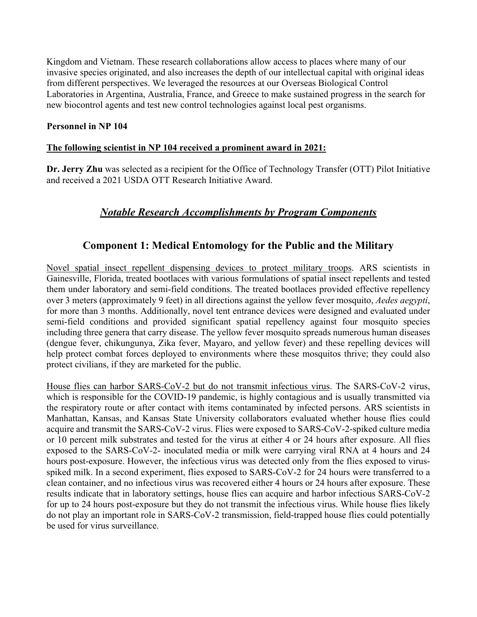Kingdom and Vietnam. These research collaborations allow access to places where many of our invasive species originated, and also increases the depth of our intellectual capital with original ideas from different perspectives. We leveraged the resources at our Overseas Biological Control Laboratories in Argentina, Australia, France, and Greece to make sustained progress in the search for new biocontrol agents and test new control technologies against local pest organisms.

#### **Personnel in NP 104**

#### **The following scientist in NP 104 received a prominent award in 2021:**

**Dr. Jerry Zhu** was selected as a recipient for the Office of Technology Transfer (OTT) Pilot Initiative and received a 2021 USDA OTT Research Initiative Award.

## *Notable Research Accomplishments by Program Components*

### **Component 1: Medical Entomology for the Public and the Military**

Novel spatial insect repellent dispensing devices to protect military troops. ARS scientists in Gainesville, Florida, treated bootlaces with various formulations of spatial insect repellents and tested them under laboratory and semi-field conditions. The treated bootlaces provided effective repellency over 3 meters (approximately 9 feet) in all directions against the yellow fever mosquito, *Aedes aegypti*, for more than 3 months. Additionally, novel tent entrance devices were designed and evaluated under semi-field conditions and provided significant spatial repellency against four mosquito species including three genera that carry disease. The yellow fever mosquito spreads numerous human diseases (dengue fever, chikungunya, Zika fever, Mayaro, and yellow fever) and these repelling devices will help protect combat forces deployed to environments where these mosquitos thrive; they could also protect civilians, if they are marketed for the public.

House flies can harbor SARS-CoV-2 but do not transmit infectious virus. The SARS-CoV-2 virus, which is responsible for the COVID-19 pandemic, is highly contagious and is usually transmitted via the respiratory route or after contact with items contaminated by infected persons. ARS scientists in Manhattan, Kansas, and Kansas State University collaborators evaluated whether house flies could acquire and transmit the SARS-CoV-2 virus. Flies were exposed to SARS-CoV-2-spiked culture media or 10 percent milk substrates and tested for the virus at either 4 or 24 hours after exposure. All flies exposed to the SARS-CoV-2- inoculated media or milk were carrying viral RNA at 4 hours and 24 hours post-exposure. However, the infectious virus was detected only from the flies exposed to virusspiked milk. In a second experiment, flies exposed to SARS-CoV-2 for 24 hours were transferred to a clean container, and no infectious virus was recovered either 4 hours or 24 hours after exposure. These results indicate that in laboratory settings, house flies can acquire and harbor infectious SARS-CoV-2 for up to 24 hours post-exposure but they do not transmit the infectious virus. While house flies likely do not play an important role in SARS-CoV-2 transmission, field-trapped house flies could potentially be used for virus surveillance.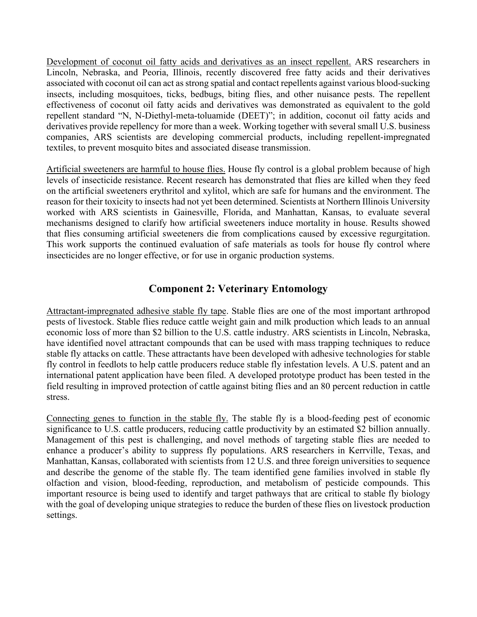Development of coconut oil fatty acids and derivatives as an insect repellent. ARS researchers in Lincoln, Nebraska, and Peoria, Illinois, recently discovered free fatty acids and their derivatives associated with coconut oil can act as strong spatial and contact repellents against various blood-sucking insects, including mosquitoes, ticks, bedbugs, biting flies, and other nuisance pests. The repellent effectiveness of coconut oil fatty acids and derivatives was demonstrated as equivalent to the gold repellent standard "N, N-Diethyl-meta-toluamide (DEET)"; in addition, coconut oil fatty acids and derivatives provide repellency for more than a week. Working together with several small U.S. business companies, ARS scientists are developing commercial products, including repellent-impregnated textiles, to prevent mosquito bites and associated disease transmission.

Artificial sweeteners are harmful to house flies. House fly control is a global problem because of high levels of insecticide resistance. Recent research has demonstrated that flies are killed when they feed on the artificial sweeteners erythritol and xylitol, which are safe for humans and the environment. The reason for their toxicity to insects had not yet been determined. Scientists at Northern Illinois University worked with ARS scientists in Gainesville, Florida, and Manhattan, Kansas, to evaluate several mechanisms designed to clarify how artificial sweeteners induce mortality in house. Results showed that flies consuming artificial sweeteners die from complications caused by excessive regurgitation. This work supports the continued evaluation of safe materials as tools for house fly control where insecticides are no longer effective, or for use in organic production systems.

## **Component 2: Veterinary Entomology**

Attractant-impregnated adhesive stable fly tape. Stable flies are one of the most important arthropod pests of livestock. Stable flies reduce cattle weight gain and milk production which leads to an annual economic loss of more than \$2 billion to the U.S. cattle industry. ARS scientists in Lincoln, Nebraska, have identified novel attractant compounds that can be used with mass trapping techniques to reduce stable fly attacks on cattle. These attractants have been developed with adhesive technologies for stable fly control in feedlots to help cattle producers reduce stable fly infestation levels. A U.S. patent and an international patent application have been filed. A developed prototype product has been tested in the field resulting in improved protection of cattle against biting flies and an 80 percent reduction in cattle stress.

Connecting genes to function in the stable fly. The stable fly is a blood-feeding pest of economic significance to U.S. cattle producers, reducing cattle productivity by an estimated \$2 billion annually. Management of this pest is challenging, and novel methods of targeting stable flies are needed to enhance a producer's ability to suppress fly populations. ARS researchers in Kerrville, Texas, and Manhattan, Kansas, collaborated with scientists from 12 U.S. and three foreign universities to sequence and describe the genome of the stable fly. The team identified gene families involved in stable fly olfaction and vision, blood-feeding, reproduction, and metabolism of pesticide compounds. This important resource is being used to identify and target pathways that are critical to stable fly biology with the goal of developing unique strategies to reduce the burden of these flies on livestock production settings.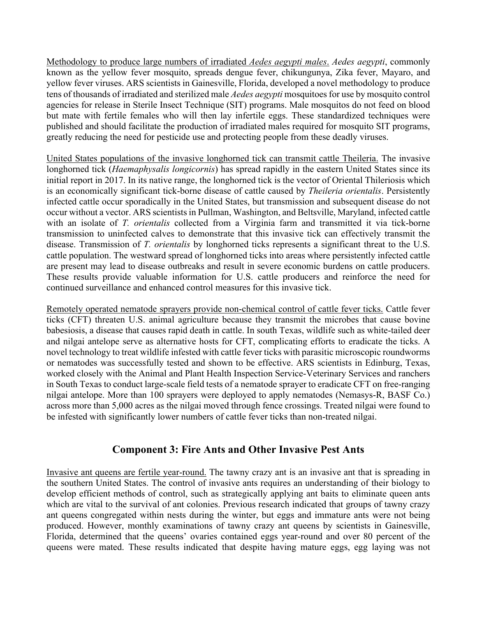Methodology to produce large numbers of irradiated *Aedes aegypti males*. *Aedes aegypti*, commonly known as the yellow fever mosquito, spreads dengue fever, chikungunya, Zika fever, Mayaro, and yellow fever viruses. ARS scientists in Gainesville, Florida, developed a novel methodology to produce tens of thousands of irradiated and sterilized male *Aedes aegypti* mosquitoes for use by mosquito control agencies for release in Sterile Insect Technique (SIT) programs. Male mosquitos do not feed on blood but mate with fertile females who will then lay infertile eggs. These standardized techniques were published and should facilitate the production of irradiated males required for mosquito SIT programs, greatly reducing the need for pesticide use and protecting people from these deadly viruses.

United States populations of the invasive longhorned tick can transmit cattle Theileria. The invasive longhorned tick (*Haemaphysalis longicornis*) has spread rapidly in the eastern United States since its initial report in 2017. In its native range, the longhorned tick is the vector of Oriental Thileriosis which is an economically significant tick-borne disease of cattle caused by *Theileria orientalis*. Persistently infected cattle occur sporadically in the United States, but transmission and subsequent disease do not occur without a vector. ARS scientists in Pullman, Washington, and Beltsville, Maryland, infected cattle with an isolate of *T. orientalis* collected from a Virginia farm and transmitted it via tick-borne transmission to uninfected calves to demonstrate that this invasive tick can effectively transmit the disease. Transmission of *T. orientalis* by longhorned ticks represents a significant threat to the U.S. cattle population. The westward spread of longhorned ticks into areas where persistently infected cattle are present may lead to disease outbreaks and result in severe economic burdens on cattle producers. These results provide valuable information for U.S. cattle producers and reinforce the need for continued surveillance and enhanced control measures for this invasive tick.

Remotely operated nematode sprayers provide non-chemical control of cattle fever ticks. Cattle fever ticks (CFT) threaten U.S. animal agriculture because they transmit the microbes that cause bovine babesiosis, a disease that causes rapid death in cattle. In south Texas, wildlife such as white-tailed deer and nilgai antelope serve as alternative hosts for CFT, complicating efforts to eradicate the ticks. A novel technology to treat wildlife infested with cattle fever ticks with parasitic microscopic roundworms or nematodes was successfully tested and shown to be effective. ARS scientists in Edinburg, Texas, worked closely with the Animal and Plant Health Inspection Service-Veterinary Services and ranchers in South Texas to conduct large-scale field tests of a nematode sprayer to eradicate CFT on free-ranging nilgai antelope. More than 100 sprayers were deployed to apply nematodes (Nemasys-R, BASF Co.) across more than 5,000 acres as the nilgai moved through fence crossings. Treated nilgai were found to be infested with significantly lower numbers of cattle fever ticks than non-treated nilgai.

#### **Component 3: Fire Ants and Other Invasive Pest Ants**

Invasive ant queens are fertile year-round. The tawny crazy ant is an invasive ant that is spreading in the southern United States. The control of invasive ants requires an understanding of their biology to develop efficient methods of control, such as strategically applying ant baits to eliminate queen ants which are vital to the survival of ant colonies. Previous research indicated that groups of tawny crazy ant queens congregated within nests during the winter, but eggs and immature ants were not being produced. However, monthly examinations of tawny crazy ant queens by scientists in Gainesville, Florida, determined that the queens' ovaries contained eggs year-round and over 80 percent of the queens were mated. These results indicated that despite having mature eggs, egg laying was not